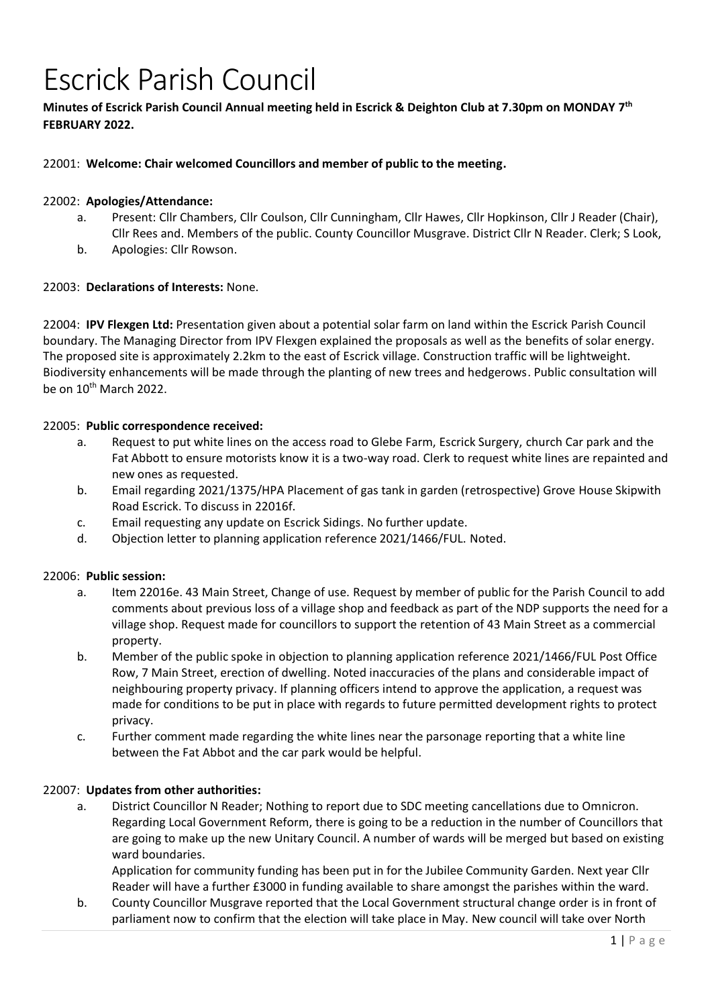# Escrick Parish Council

# **Minutes of Escrick Parish Council Annual meeting held in Escrick & Deighton Club at 7.30pm on MONDAY 7 th FEBRUARY 2022.**

# 22001: **Welcome: Chair welcomed Councillors and member of public to the meeting.**

### 22002: **Apologies/Attendance:**

- a. Present: Cllr Chambers, Cllr Coulson, Cllr Cunningham, Cllr Hawes, Cllr Hopkinson, Cllr J Reader (Chair), Cllr Rees and. Members of the public. County Councillor Musgrave. District Cllr N Reader. Clerk; S Look,
- b. Apologies: Cllr Rowson.

#### 22003: **Declarations of Interests:** None.

22004: **IPV Flexgen Ltd:** Presentation given about a potential solar farm on land within the Escrick Parish Council boundary. The Managing Director from IPV Flexgen explained the proposals as well as the benefits of solar energy. The proposed site is approximately 2.2km to the east of Escrick village. Construction traffic will be lightweight. Biodiversity enhancements will be made through the planting of new trees and hedgerows. Public consultation will be on 10<sup>th</sup> March 2022.

#### 22005: **Public correspondence received:**

- a. Request to put white lines on the access road to Glebe Farm, Escrick Surgery, church Car park and the Fat Abbott to ensure motorists know it is a two-way road. Clerk to request white lines are repainted and new ones as requested.
- b. Email regarding [2021/1375/HPA Placement of gas tank in garden \(retrospective\) Grove](https://public.selby.gov.uk/online-applications/applicationDetails.do?keyVal=R29C3ZNX0C000&activeTab=summary) House Skipwith [Road Escrick. T](https://public.selby.gov.uk/online-applications/applicationDetails.do?keyVal=R29C3ZNX0C000&activeTab=summary)o discuss in 22016f.
- c. Email requesting any update on Escrick Sidings. No further update.
- d. Objection letter to planning application reference 2021/1466/FUL. Noted.

#### 22006: **Public session:**

- a. Item 22016e. 43 Main Street, Change of use. Request by member of public for the Parish Council to add comments about previous loss of a village shop and feedback as part of the NDP supports the need for a village shop. Request made for councillors to support the retention of 43 Main Street as a commercial property.
- b. Member of the public spoke in objection to planning application reference 2021/1466/FUL Post Office Row, 7 Main Street, erection of dwelling. Noted inaccuracies of the plans and considerable impact of neighbouring property privacy. If planning officers intend to approve the application, a request was made for conditions to be put in place with regards to future permitted development rights to protect privacy.
- c. Further comment made regarding the white lines near the parsonage reporting that a white line between the Fat Abbot and the car park would be helpful.

#### 22007: **Updates from other authorities:**

a. District Councillor N Reader; Nothing to report due to SDC meeting cancellations due to Omnicron. Regarding Local Government Reform, there is going to be a reduction in the number of Councillors that are going to make up the new Unitary Council. A number of wards will be merged but based on existing ward boundaries.

Application for community funding has been put in for the Jubilee Community Garden. Next year Cllr Reader will have a further £3000 in funding available to share amongst the parishes within the ward.

b. County Councillor Musgrave reported that the Local Government structural change order is in front of parliament now to confirm that the election will take place in May. New council will take over North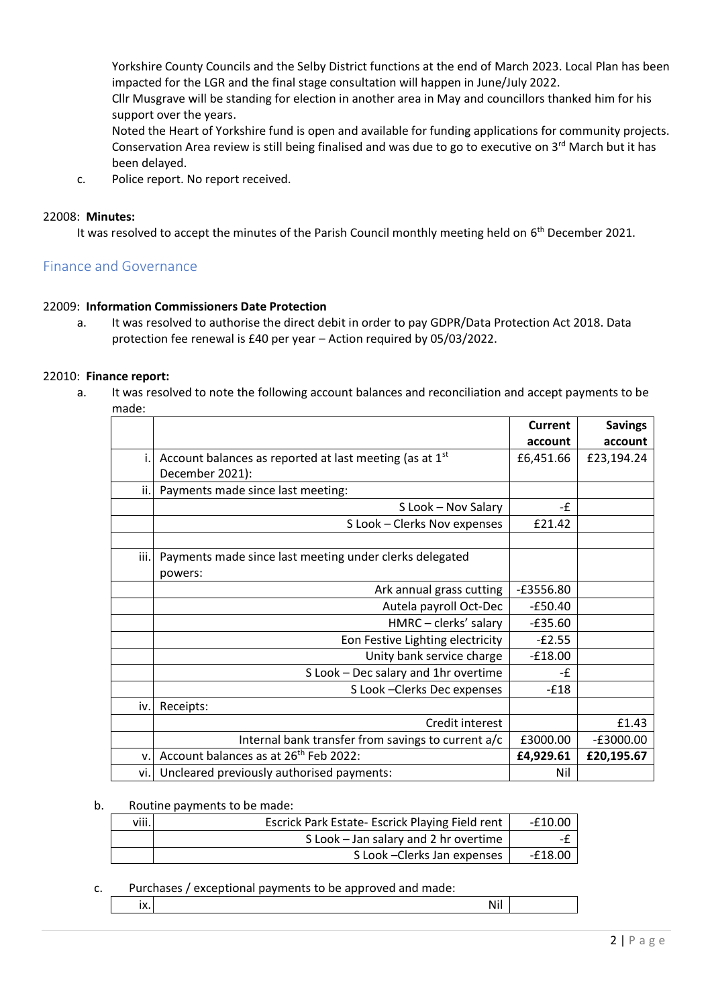Yorkshire County Councils and the Selby District functions at the end of March 2023. Local Plan has been impacted for the LGR and the final stage consultation will happen in June/July 2022.

Cllr Musgrave will be standing for election in another area in May and councillors thanked him for his support over the years.

Noted the Heart of Yorkshire fund is open and available for funding applications for community projects. Conservation Area review is still being finalised and was due to go to executive on 3rd March but it has been delayed.

c. Police report. No report received.

# 22008: **Minutes:**

It was resolved to accept the minutes of the Parish Council monthly meeting held on 6<sup>th</sup> December 2021.

# Finance and Governance

#### 22009: **Information Commissioners Date Protection**

a. It was resolved to authorise the direct debit in order to pay GDPR/Data Protection Act 2018. Data protection fee renewal is £40 per year – Action required by 05/03/2022.

#### 22010: **Finance report:**

a. It was resolved to note the following account balances and reconciliation and accept payments to be made:

|      |                                                         | Current     | <b>Savings</b> |
|------|---------------------------------------------------------|-------------|----------------|
|      |                                                         | account     | account        |
|      | Account balances as reported at last meeting (as at 1st | £6,451.66   | £23,194.24     |
|      | December 2021):                                         |             |                |
| ii.  | Payments made since last meeting:                       |             |                |
|      | S Look - Nov Salary                                     | -£          |                |
|      | S Look - Clerks Nov expenses                            | £21.42      |                |
|      |                                                         |             |                |
| iii. | Payments made since last meeting under clerks delegated |             |                |
|      | powers:                                                 |             |                |
|      | Ark annual grass cutting                                | $-£3556.80$ |                |
|      | Autela payroll Oct-Dec                                  | $-£50.40$   |                |
|      | HMRC - clerks' salary                                   | $-E35.60$   |                |
|      | Eon Festive Lighting electricity                        | $-E2.55$    |                |
|      | Unity bank service charge                               | $-£18.00$   |                |
|      | S Look - Dec salary and 1hr overtime                    | -f          |                |
|      | S Look - Clerks Dec expenses                            | $-E18$      |                |
| i٧.  | Receipts:                                               |             |                |
|      | Credit interest                                         |             | £1.43          |
|      | Internal bank transfer from savings to current a/c      | £3000.00    | $-E3000.00$    |
| v.   | Account balances as at 26 <sup>th</sup> Feb 2022:       | £4,929.61   | £20,195.67     |
| vi.  | Uncleared previously authorised payments:               | Nil         |                |

#### b. Routine payments to be made:

| viii. | Escrick Park Estate- Escrick Playing Field rent |         |
|-------|-------------------------------------------------|---------|
|       | S Look - Jan salary and 2 hr overtime           |         |
|       | S Look - Clerks Jan expenses                    | -£18.00 |

#### c. Purchases / exceptional payments to be approved and made:

|  | $\sim$ $\sim$ $\sim$ |  |  |
|--|----------------------|--|--|
|--|----------------------|--|--|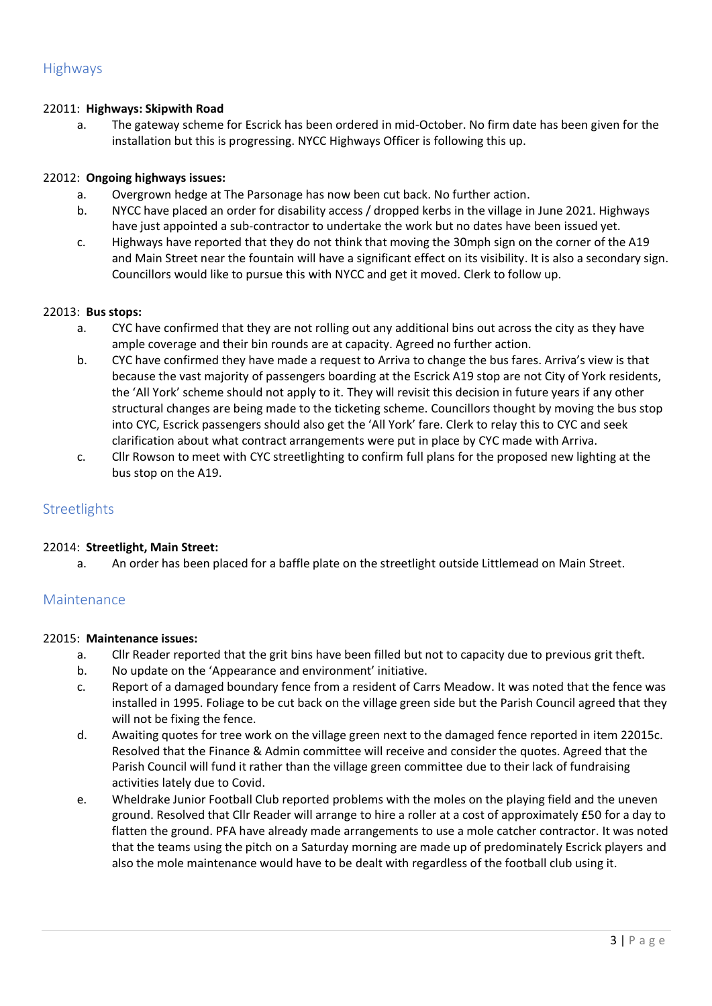# 22011: **Highways: Skipwith Road**

a. The gateway scheme for Escrick has been ordered in mid-October. No firm date has been given for the installation but this is progressing. NYCC Highways Officer is following this up.

# 22012: **Ongoing highways issues:**

- a. Overgrown hedge at The Parsonage has now been cut back. No further action.
- b. NYCC have placed an order for disability access / dropped kerbs in the village in June 2021. Highways have just appointed a sub-contractor to undertake the work but no dates have been issued yet.
- c. Highways have reported that they do not think that moving the 30mph sign on the corner of the A19 and Main Street near the fountain will have a significant effect on its visibility. It is also a secondary sign. Councillors would like to pursue this with NYCC and get it moved. Clerk to follow up.

#### 22013: **Bus stops:**

- a. CYC have confirmed that they are not rolling out any additional bins out across the city as they have ample coverage and their bin rounds are at capacity. Agreed no further action.
- b. CYC have confirmed they have made a request to Arriva to change the bus fares. Arriva's view is that because the vast majority of passengers boarding at the Escrick A19 stop are not City of York residents, the 'All York' scheme should not apply to it. They will revisit this decision in future years if any other structural changes are being made to the ticketing scheme. Councillors thought by moving the bus stop into CYC, Escrick passengers should also get the 'All York' fare. Clerk to relay this to CYC and seek clarification about what contract arrangements were put in place by CYC made with Arriva.
- c. Cllr Rowson to meet with CYC streetlighting to confirm full plans for the proposed new lighting at the bus stop on the A19.

# **Streetlights**

#### 22014: **Streetlight, Main Street:**

a. An order has been placed for a baffle plate on the streetlight outside Littlemead on Main Street.

# Maintenance

#### 22015: **Maintenance issues:**

- a. Cllr Reader reported that the grit bins have been filled but not to capacity due to previous grit theft.
- b. No update on the 'Appearance and environment' initiative.
- c. Report of a damaged boundary fence from a resident of Carrs Meadow. It was noted that the fence was installed in 1995. Foliage to be cut back on the village green side but the Parish Council agreed that they will not be fixing the fence.
- d. Awaiting quotes for tree work on the village green next to the damaged fence reported in item 22015c. Resolved that the Finance & Admin committee will receive and consider the quotes. Agreed that the Parish Council will fund it rather than the village green committee due to their lack of fundraising activities lately due to Covid.
- e. Wheldrake Junior Football Club reported problems with the moles on the playing field and the uneven ground. Resolved that Cllr Reader will arrange to hire a roller at a cost of approximately £50 for a day to flatten the ground. PFA have already made arrangements to use a mole catcher contractor. It was noted that the teams using the pitch on a Saturday morning are made up of predominately Escrick players and also the mole maintenance would have to be dealt with regardless of the football club using it.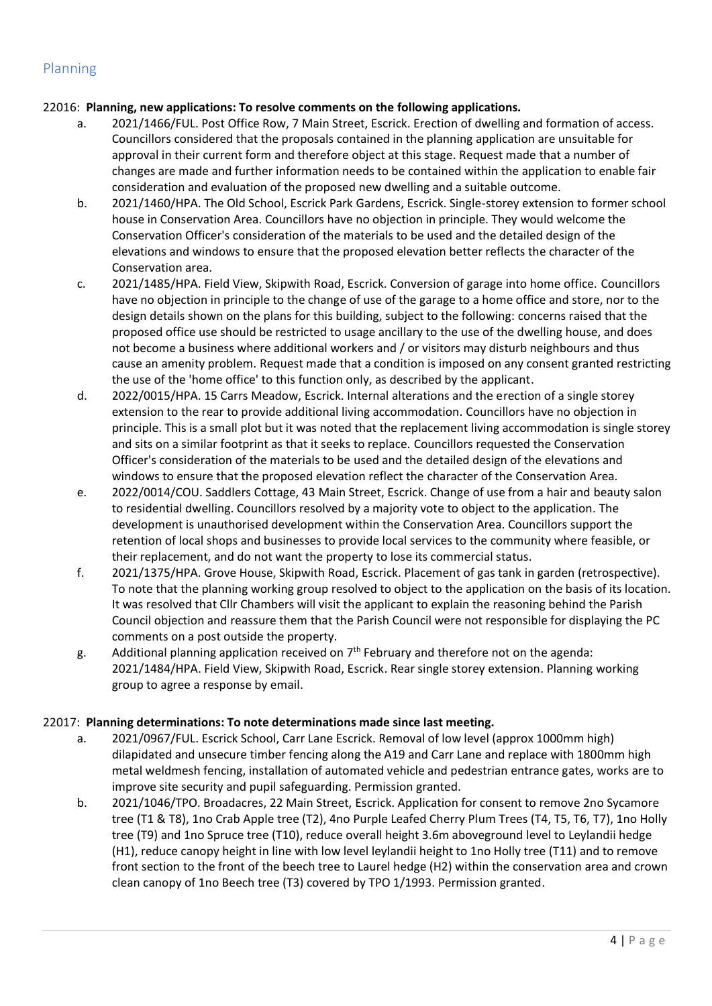# 22016: **Planning, new applications: To resolve comments on the following applications.**

- a. 2021/1466/FUL. Post Office Row, 7 Main Street, Escrick. Erection of dwelling and formation of access. Councillors considered that the proposals contained in the planning application are unsuitable for approval in their current form and therefore object at this stage. Request made that a number of changes are made and further information needs to be contained within the application to enable fair consideration and evaluation of the proposed new dwelling and a suitable outcome.
- b. 2021/1460/HPA. The Old School, Escrick Park Gardens, Escrick. Single-storey extension to former school house in Conservation Area. Councillors have no objection in principle. They would welcome the Conservation Officer's consideration of the materials to be used and the detailed design of the elevations and windows to ensure that the proposed elevation better reflects the character of the Conservation area.
- c. 2021/1485/HPA. Field View, Skipwith Road, Escrick. Conversion of garage into home office. Councillors have no objection in principle to the change of use of the garage to a home office and store, nor to the design details shown on the plans for this building, subject to the following: concerns raised that the proposed office use should be restricted to usage ancillary to the use of the dwelling house, and does not become a business where additional workers and / or visitors may disturb neighbours and thus cause an amenity problem. Request made that a condition is imposed on any consent granted restricting the use of the 'home office' to this function only, as described by the applicant.
- d. 2022/0015/HPA. 15 Carrs Meadow, Escrick. Internal alterations and the erection of a single storey extension to the rear to provide additional living accommodation. Councillors have no objection in principle. This is a small plot but it was noted that the replacement living accommodation is single storey and sits on a similar footprint as that it seeks to replace. Councillors requested the Conservation Officer's consideration of the materials to be used and the detailed design of the elevations and windows to ensure that the proposed elevation reflect the character of the Conservation Area.
- e. 2022/0014/COU. Saddlers Cottage, 43 Main Street, Escrick. Change of use from a hair and beauty salon to residential dwelling. Councillors resolved by a majority vote to object to the application. The development is unauthorised development within the Conservation Area. Councillors support the retention of local shops and businesses to provide local services to the community where feasible, or their replacement, and do not want the property to lose its commercial status.
- f. 2021/1375/HPA. Grove House, Skipwith Road, Escrick. Placement of gas tank in garden (retrospective). To note that the planning working group resolved to object to the application on the basis of its location. It was resolved that Cllr Chambers will visit the applicant to explain the reasoning behind the Parish Council objection and reassure them that the Parish Council were not responsible for displaying the PC comments on a post outside the property.
- g. Additional planning application received on  $7<sup>th</sup>$  February and therefore not on the agenda: 2021/1484/HPA. Field View, Skipwith Road, Escrick. Rear single storey extension. Planning working group to agree a response by email.

# 22017: **Planning determinations: To note determinations made since last meeting.**

- a. 2021/0967/FUL. Escrick School, Carr Lane Escrick. Removal of low level (approx 1000mm high) dilapidated and unsecure timber fencing along the A19 and Carr Lane and replace with 1800mm high metal weldmesh fencing, installation of automated vehicle and pedestrian entrance gates, works are to improve site security and pupil safeguarding. Permission granted.
- b. 2021/1046/TPO. Broadacres, 22 Main Street, Escrick. Application for consent to remove 2no Sycamore tree (T1 & T8), 1no Crab Apple tree (T2), 4no Purple Leafed Cherry Plum Trees (T4, T5, T6, T7), 1no Holly tree (T9) and 1no Spruce tree (T10), reduce overall height 3.6m aboveground level to Leylandii hedge (H1), reduce canopy height in line with low level leylandii height to 1no Holly tree (T11) and to remove front section to the front of the beech tree to Laurel hedge (H2) within the conservation area and crown clean canopy of 1no Beech tree (T3) covered by TPO 1/1993. Permission granted.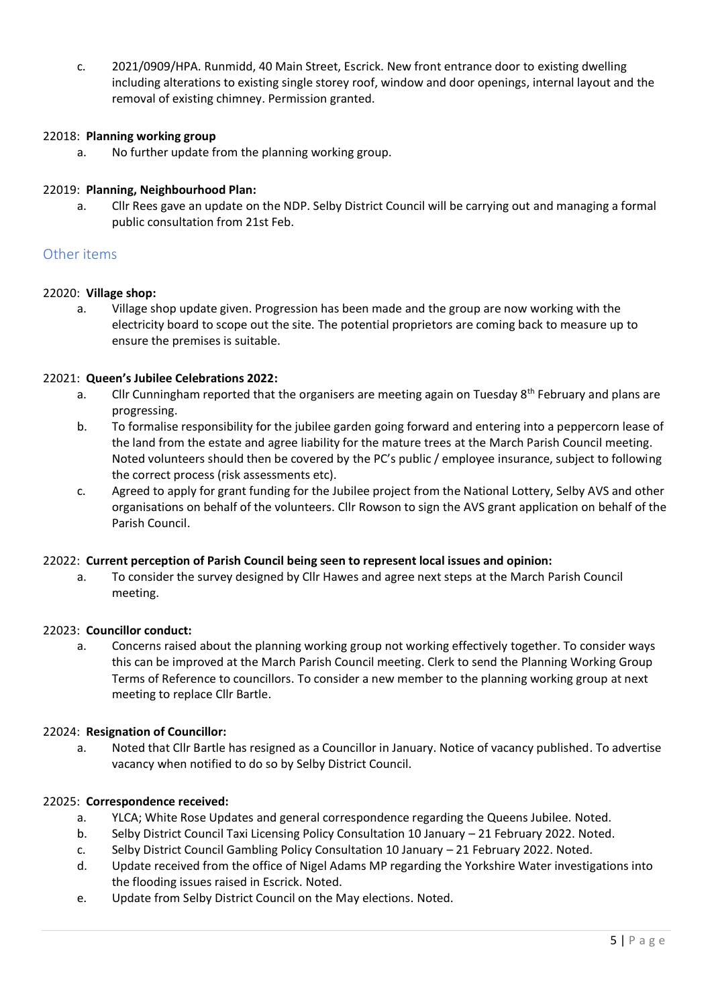c. 2021/0909/HPA. Runmidd, 40 Main Street, Escrick. New front entrance door to existing dwelling including alterations to existing single storey roof, window and door openings, internal layout and the removal of existing chimney. Permission granted.

# 22018: **Planning working group**

a. No further update from the planning working group.

### 22019: **Planning, Neighbourhood Plan:**

a. Cllr Rees gave an update on the NDP. Selby District Council will be carrying out and managing a formal public consultation from 21st Feb.

# Other items

#### 22020: **Village shop:**

a. Village shop update given. Progression has been made and the group are now working with the electricity board to scope out the site. The potential proprietors are coming back to measure up to ensure the premises is suitable.

#### 22021: **Queen's Jubilee Celebrations 2022:**

- a. Cllr Cunningham reported that the organisers are meeting again on Tuesday 8<sup>th</sup> February and plans are progressing.
- b. To formalise responsibility for the jubilee garden going forward and entering into a peppercorn lease of the land from the estate and agree liability for the mature trees at the March Parish Council meeting. Noted volunteers should then be covered by the PC's public / employee insurance, subject to following the correct process (risk assessments etc).
- c. Agreed to apply for grant funding for the Jubilee project from the National Lottery, Selby AVS and other organisations on behalf of the volunteers. Cllr Rowson to sign the AVS grant application on behalf of the Parish Council.

#### 22022: **Current perception of Parish Council being seen to represent local issues and opinion:**

a. To consider the survey designed by Cllr Hawes and agree next steps at the March Parish Council meeting.

#### 22023: **Councillor conduct:**

a. Concerns raised about the planning working group not working effectively together. To consider ways this can be improved at the March Parish Council meeting. Clerk to send the Planning Working Group Terms of Reference to councillors. To consider a new member to the planning working group at next meeting to replace Cllr Bartle.

#### 22024: **Resignation of Councillor:**

a. Noted that Cllr Bartle has resigned as a Councillor in January. Notice of vacancy published. To advertise vacancy when notified to do so by Selby District Council.

#### 22025: **Correspondence received:**

- a. YLCA; White Rose Updates and general correspondence regarding the Queens Jubilee. Noted.
- b. Selby District Council Taxi Licensing Policy Consultation 10 January 21 February 2022. Noted.
- c. Selby District Council Gambling Policy Consultation 10 January 21 February 2022. Noted.
- d. Update received from the office of Nigel Adams MP regarding the Yorkshire Water investigations into the flooding issues raised in Escrick. Noted.
- e. Update from Selby District Council on the May elections. Noted.